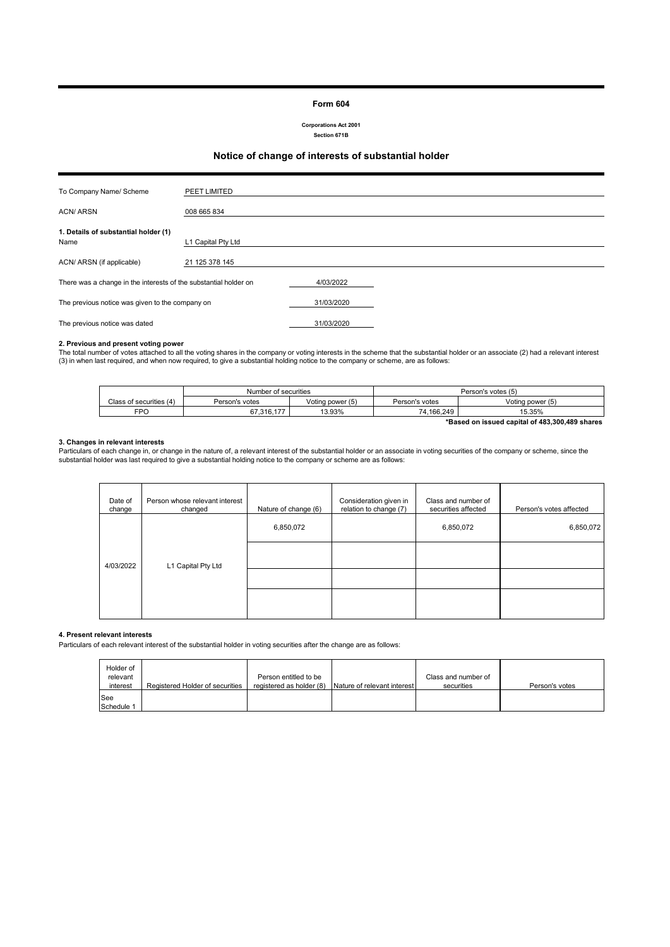#### **Form 604**

**Corporations Act 2001 Section 671B**

### **Notice of change of interests of substantial holder**

| To Company Name/ Scheme                                          | PEET LIMITED       |            |  |
|------------------------------------------------------------------|--------------------|------------|--|
| <b>ACN/ARSN</b>                                                  | 008 665 834        |            |  |
|                                                                  |                    |            |  |
| 1. Details of substantial holder (1)                             |                    |            |  |
| Name                                                             | L1 Capital Pty Ltd |            |  |
|                                                                  |                    |            |  |
| ACN/ ARSN (if applicable)                                        | 21 125 378 145     |            |  |
|                                                                  |                    |            |  |
| There was a change in the interests of the substantial holder on |                    | 4/03/2022  |  |
|                                                                  |                    |            |  |
| The previous notice was given to the company on                  |                    | 31/03/2020 |  |
|                                                                  |                    |            |  |
| The previous notice was dated                                    |                    | 31/03/2020 |  |

#### **2. Previous and present voting power**

The total number of votes attached to all the voting shares in the company or voting interests in the scheme that the substantial holder or an associate (2) had a relevant interest<br>(3) in when last required, and when now r

|                                                | Number of securities |                  | Person's votes (5) |                  |
|------------------------------------------------|----------------------|------------------|--------------------|------------------|
| Class of securities (4)                        | Person's votes       | Voting power (5) | Person's votes     | Voting power (5) |
| FPO                                            | 67.316.177           | 13.93%           | 74.166.249         | 15.35%           |
| *Based on issued capital of 483,300,489 shares |                      |                  |                    |                  |

#### **3. Changes in relevant interests**

Particulars of each change in, or change in the nature of, a relevant interest of the substantial holder or an associate in voting securities of the company or scheme, since the<br>substantial holder was last required to give

| Person whose relevant interest<br>changed | Nature of change (6) | Consideration given in<br>relation to change (7) | Class and number of<br>securities affected | Person's votes affected |
|-------------------------------------------|----------------------|--------------------------------------------------|--------------------------------------------|-------------------------|
|                                           | 6,850,072            |                                                  | 6,850,072                                  | 6,850,072               |
|                                           |                      |                                                  |                                            |                         |
|                                           |                      |                                                  |                                            |                         |
|                                           |                      |                                                  |                                            |                         |
|                                           | L1 Capital Pty Ltd   |                                                  |                                            |                         |

#### **4. Present relevant interests**

Particulars of each relevant interest of the substantial holder in voting securities after the change are as follows:

| Holder of<br>relevant<br>interest | Registered Holder of securities | Person entitled to be<br>registered as holder (8) | Nature of relevant interest | Class and number of<br>securities | Person's votes |
|-----------------------------------|---------------------------------|---------------------------------------------------|-----------------------------|-----------------------------------|----------------|
| <b>See</b><br>Schedule 1          |                                 |                                                   |                             |                                   |                |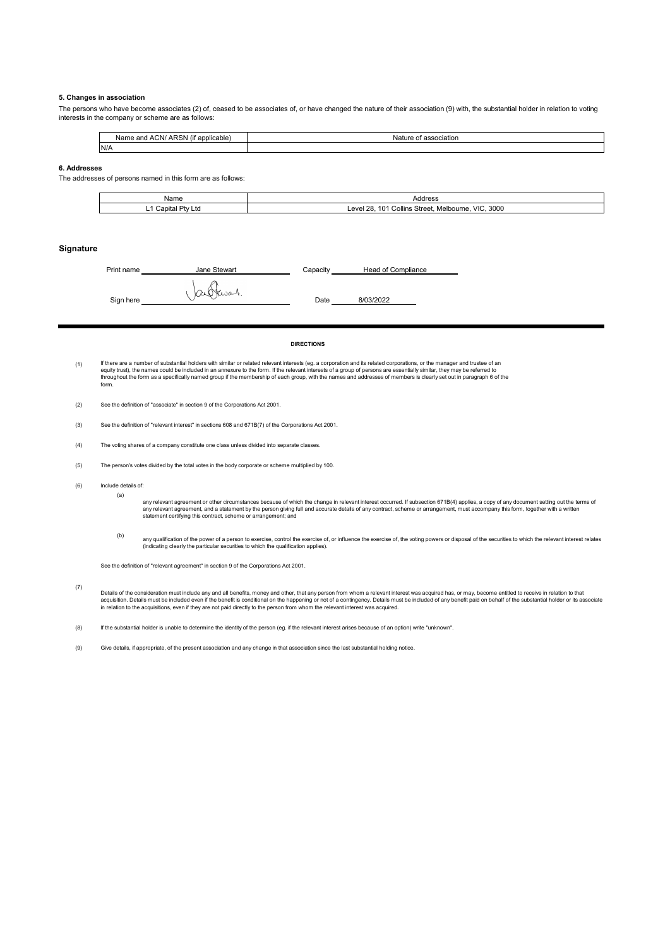#### **5. Changes in association**

The persons who have become associates (2) of, ceased to be associates of, or have changed the nature of their association (9) with, the substantial holder in relation to voting interests in the company or scheme are as follows:

| $\sim$<br>ARSN<br>. ACN/<br>Name<br>(if applicable)<br>∘and | Nature<br>্া association |
|-------------------------------------------------------------|--------------------------|
| N/t                                                         |                          |

#### **6. Addresses**

The addresses of persons named in this form are as follows:

| Name                        | Address                                                            |
|-----------------------------|--------------------------------------------------------------------|
| Dh/I<br>`onitol<br>LIO<br>- | 3000<br>VIC<br>28<br>Melbourne.<br>Collins Street.<br>Leve'<br>ιUΓ |

#### **Signature**

| Print name | Jane Stewart | Capacity | <b>Head of Compliance</b> |  |
|------------|--------------|----------|---------------------------|--|
| Sign here  | arthwar.     | Date     | 8/03/2022                 |  |

#### **DIRECTIONS**

(1) lf there are a number of substantial holders with similar or related relevant interests (eg. a corporation and its related corporations, or the manager and trustee of ar<br>equity trust), the names could be included in an ann throughout the form as a specifically named group if the membership of each group, with the names and addresses of members is clearly set out in paragraph 6 of the form.

- (3) See the definition of "relevant interest" in sections 608 and 671B(7) of the Corporations Act 2001.
- (4) The voting shares of a company constitute one class unless divided into separate classes.
- (5) The person's votes divided by the total votes in the body corporate or scheme multiplied by 100.
- (6) Include details of:

(a)

any relevant agreement or other circumstances because of which the change in relevant interest occurred. If subsection 671B(4) applies, a copy of any document setting out the terms of<br>any relevant agreement, and a statemen

(b) any qualification of the power of a person to exercise, control the exercise of, or influence the exercise of, the voting powers or disposal of the securities to which the relevant interest relates<br>(indicating clearly the

See the definition of "relevant agreement" in section 9 of the Corporations Act 2001.

(7) Details of the consideration must include any and all benefits, money and other, that any person from whom a relevant interest was acquired has, or may, become entitled to receive in relation to that<br>acquistion. Details mu

(8) If the substantial holder is unable to determine the identity of the person (eg. if the relevant interest arises because of an option) write "unknown".

(9) Give details, if appropriate, of the present association and any change in that association since the last substantial holding notice.

<sup>(2)</sup> See the definition of "associate" in section 9 of the Corporations Act 2001.